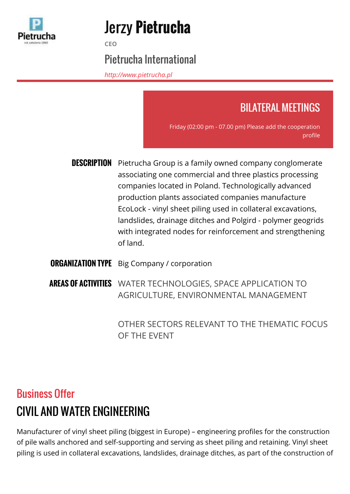

# Jerzy **Pietrucha**

**CEO**

#### Pietrucha International

*<http://www.pietrucha.pl>*

### BILATERAL MEETINGS

Friday (02:00 pm - 07.00 pm) Please add the cooperation profile

- **DESCRIPTION** Pietrucha Group is a family owned company conglomerate associating one commercial and three plastics processing companies located in Poland. Technologically advanced production plants associated companies manufacture EcoLock - vinyl sheet piling used in collateral excavations, landslides, drainage ditches and Polgird - polymer geogrids with integrated nodes for reinforcement and strengthening of land.
- **ORGANIZATION TYPE** Big Company / corporation

**AREAS OF ACTIVITIES** WATER TECHNOLOGIES, SPACE APPLICATION TO AGRICULTURE, ENVIRONMENTAL MANAGEMENT

> OTHER SECTORS RELEVANT TO THE THEMATIC FOCUS OF THE EVENT

## Business Offer CIVIL AND WATER ENGINEERING

Manufacturer of vinyl sheet piling (biggest in Europe) – engineering profiles for the construction of pile walls anchored and self-supporting and serving as sheet piling and retaining. Vinyl sheet piling is used in collateral excavations, landslides, drainage ditches, as part of the construction of